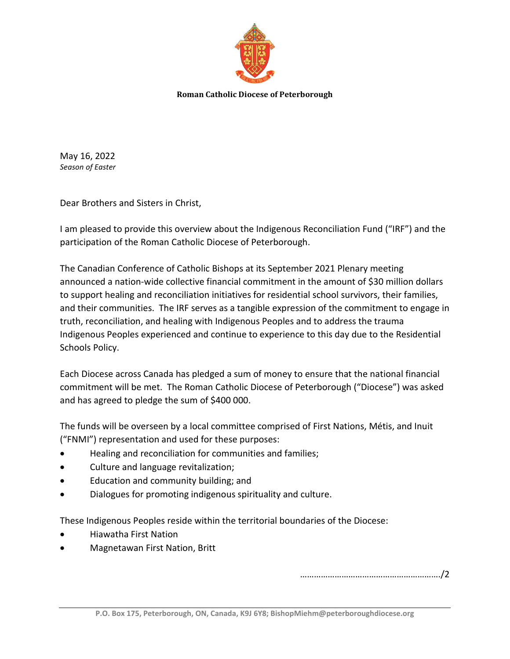

**Roman Catholic Diocese of Peterborough**

May 16, 2022 *Season of Easter*

Dear Brothers and Sisters in Christ,

I am pleased to provide this overview about the Indigenous Reconciliation Fund ("IRF") and the participation of the Roman Catholic Diocese of Peterborough.

The Canadian Conference of Catholic Bishops at its September 2021 Plenary meeting announced a nation-wide collective financial commitment in the amount of \$30 million dollars to support healing and reconciliation initiatives for residential school survivors, their families, and their communities. The IRF serves as a tangible expression of the commitment to engage in truth, reconciliation, and healing with Indigenous Peoples and to address the trauma Indigenous Peoples experienced and continue to experience to this day due to the Residential Schools Policy.

Each Diocese across Canada has pledged a sum of money to ensure that the national financial commitment will be met. The Roman Catholic Diocese of Peterborough ("Diocese") was asked and has agreed to pledge the sum of \$400 000.

The funds will be overseen by a local committee comprised of First Nations, Métis, and Inuit ("FNMI") representation and used for these purposes:

- Healing and reconciliation for communities and families;
- Culture and language revitalization;
- Education and community building; and
- Dialogues for promoting indigenous spirituality and culture.

These Indigenous Peoples reside within the territorial boundaries of the Diocese:

- Hiawatha First Nation
- Magnetawan First Nation, Britt

……………………………………………………./2